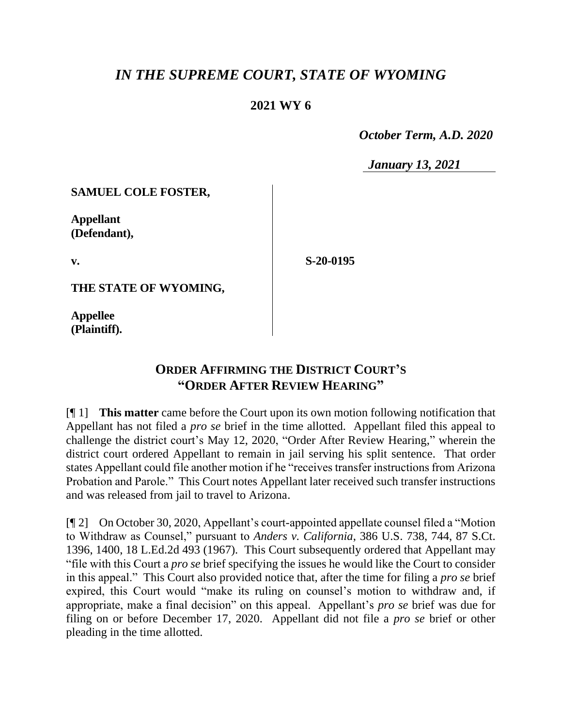## *IN THE SUPREME COURT, STATE OF WYOMING*

## **2021 WY 6**

 *October Term, A.D. 2020*

*January 13, 2021*

**SAMUEL COLE FOSTER,**

**Appellant (Defendant),**

**v.**

**S-20-0195**

**THE STATE OF WYOMING,**

**Appellee (Plaintiff).**

## **ORDER AFFIRMING THE DISTRICT COURT'S "ORDER AFTER REVIEW HEARING"**

[¶ 1] **This matter** came before the Court upon its own motion following notification that Appellant has not filed a *pro se* brief in the time allotted. Appellant filed this appeal to challenge the district court's May 12, 2020, "Order After Review Hearing," wherein the district court ordered Appellant to remain in jail serving his split sentence. That order states Appellant could file another motion if he "receives transfer instructions from Arizona Probation and Parole." This Court notes Appellant later received such transfer instructions and was released from jail to travel to Arizona.

[¶ 2] On October 30, 2020, Appellant's court-appointed appellate counsel filed a "Motion to Withdraw as Counsel," pursuant to *Anders v. California*, 386 U.S. 738, 744, 87 S.Ct. 1396, 1400, 18 L.Ed.2d 493 (1967). This Court subsequently ordered that Appellant may "file with this Court a *pro se* brief specifying the issues he would like the Court to consider in this appeal." This Court also provided notice that, after the time for filing a *pro se* brief expired, this Court would "make its ruling on counsel's motion to withdraw and, if appropriate, make a final decision" on this appeal. Appellant's *pro se* brief was due for filing on or before December 17, 2020. Appellant did not file a *pro se* brief or other pleading in the time allotted.